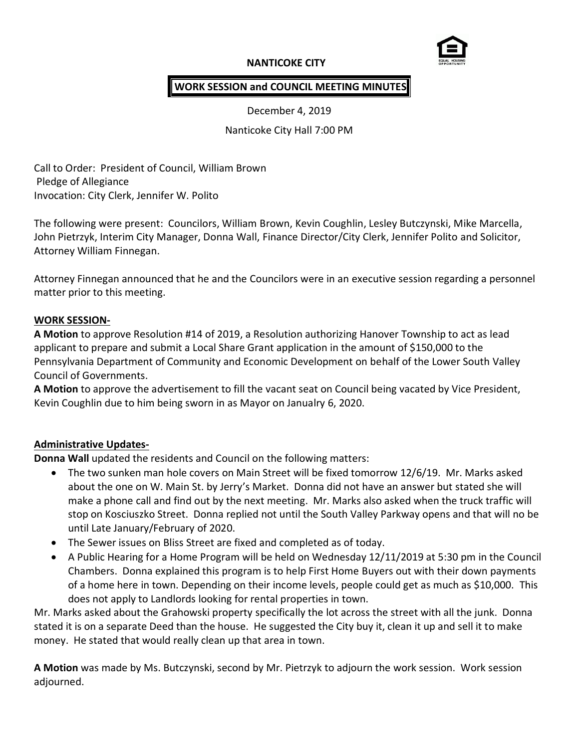### **NANTICOKE CITY**



### **WORK SESSION and COUNCIL MEETING MINUTES**

December 4, 2019

Nanticoke City Hall 7:00 PM

Call to Order: President of Council, William Brown Pledge of Allegiance Invocation: City Clerk, Jennifer W. Polito

The following were present: Councilors, William Brown, Kevin Coughlin, Lesley Butczynski, Mike Marcella, John Pietrzyk, Interim City Manager, Donna Wall, Finance Director/City Clerk, Jennifer Polito and Solicitor, Attorney William Finnegan.

Attorney Finnegan announced that he and the Councilors were in an executive session regarding a personnel matter prior to this meeting.

#### **WORK SESSION-**

**A Motion** to approve Resolution #14 of 2019, a Resolution authorizing Hanover Township to act as lead applicant to prepare and submit a Local Share Grant application in the amount of \$150,000 to the Pennsylvania Department of Community and Economic Development on behalf of the Lower South Valley Council of Governments.

**A Motion** to approve the advertisement to fill the vacant seat on Council being vacated by Vice President, Kevin Coughlin due to him being sworn in as Mayor on Janualry 6, 2020.

#### **Administrative Updates-**

**Donna Wall** updated the residents and Council on the following matters:

- The two sunken man hole covers on Main Street will be fixed tomorrow 12/6/19. Mr. Marks asked about the one on W. Main St. by Jerry's Market. Donna did not have an answer but stated she will make a phone call and find out by the next meeting. Mr. Marks also asked when the truck traffic will stop on Kosciuszko Street. Donna replied not until the South Valley Parkway opens and that will no be until Late January/February of 2020.
- The Sewer issues on Bliss Street are fixed and completed as of today.
- A Public Hearing for a Home Program will be held on Wednesday 12/11/2019 at 5:30 pm in the Council Chambers. Donna explained this program is to help First Home Buyers out with their down payments of a home here in town. Depending on their income levels, people could get as much as \$10,000. This does not apply to Landlords looking for rental properties in town.

Mr. Marks asked about the Grahowski property specifically the lot across the street with all the junk. Donna stated it is on a separate Deed than the house. He suggested the City buy it, clean it up and sell it to make money. He stated that would really clean up that area in town.

**A Motion** was made by Ms. Butczynski, second by Mr. Pietrzyk to adjourn the work session. Work session adjourned.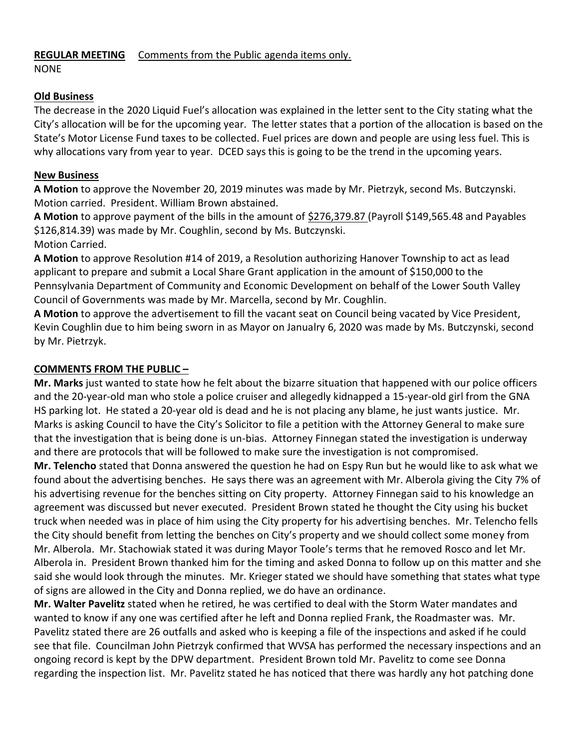# **REGULAR MEETING** Comments from the Public agenda items only.

NONE

### **Old Business**

The decrease in the 2020 Liquid Fuel's allocation was explained in the letter sent to the City stating what the City's allocation will be for the upcoming year. The letter states that a portion of the allocation is based on the State's Motor License Fund taxes to be collected. Fuel prices are down and people are using less fuel. This is why allocations vary from year to year. DCED says this is going to be the trend in the upcoming years.

#### **New Business**

**A Motion** to approve the November 20, 2019 minutes was made by Mr. Pietrzyk, second Ms. Butczynski. Motion carried. President. William Brown abstained.

**A Motion** to approve payment of the bills in the amount of \$276,379.87 (Payroll \$149,565.48 and Payables \$126,814.39) was made by Mr. Coughlin, second by Ms. Butczynski.

Motion Carried.

**A Motion** to approve Resolution #14 of 2019, a Resolution authorizing Hanover Township to act as lead applicant to prepare and submit a Local Share Grant application in the amount of \$150,000 to the Pennsylvania Department of Community and Economic Development on behalf of the Lower South Valley Council of Governments was made by Mr. Marcella, second by Mr. Coughlin.

**A Motion** to approve the advertisement to fill the vacant seat on Council being vacated by Vice President, Kevin Coughlin due to him being sworn in as Mayor on Janualry 6, 2020 was made by Ms. Butczynski, second by Mr. Pietrzyk.

## **COMMENTS FROM THE PUBLIC –**

**Mr. Marks** just wanted to state how he felt about the bizarre situation that happened with our police officers and the 20-year-old man who stole a police cruiser and allegedly kidnapped a 15-year-old girl from the GNA HS parking lot. He stated a 20-year old is dead and he is not placing any blame, he just wants justice. Mr. Marks is asking Council to have the City's Solicitor to file a petition with the Attorney General to make sure that the investigation that is being done is un-bias. Attorney Finnegan stated the investigation is underway and there are protocols that will be followed to make sure the investigation is not compromised.

**Mr. Telencho** stated that Donna answered the question he had on Espy Run but he would like to ask what we found about the advertising benches. He says there was an agreement with Mr. Alberola giving the City 7% of his advertising revenue for the benches sitting on City property. Attorney Finnegan said to his knowledge an agreement was discussed but never executed. President Brown stated he thought the City using his bucket truck when needed was in place of him using the City property for his advertising benches. Mr. Telencho fells the City should benefit from letting the benches on City's property and we should collect some money from Mr. Alberola. Mr. Stachowiak stated it was during Mayor Toole's terms that he removed Rosco and let Mr. Alberola in. President Brown thanked him for the timing and asked Donna to follow up on this matter and she said she would look through the minutes. Mr. Krieger stated we should have something that states what type of signs are allowed in the City and Donna replied, we do have an ordinance.

**Mr. Walter Pavelitz** stated when he retired, he was certified to deal with the Storm Water mandates and wanted to know if any one was certified after he left and Donna replied Frank, the Roadmaster was. Mr. Pavelitz stated there are 26 outfalls and asked who is keeping a file of the inspections and asked if he could see that file. Councilman John Pietrzyk confirmed that WVSA has performed the necessary inspections and an ongoing record is kept by the DPW department. President Brown told Mr. Pavelitz to come see Donna regarding the inspection list. Mr. Pavelitz stated he has noticed that there was hardly any hot patching done